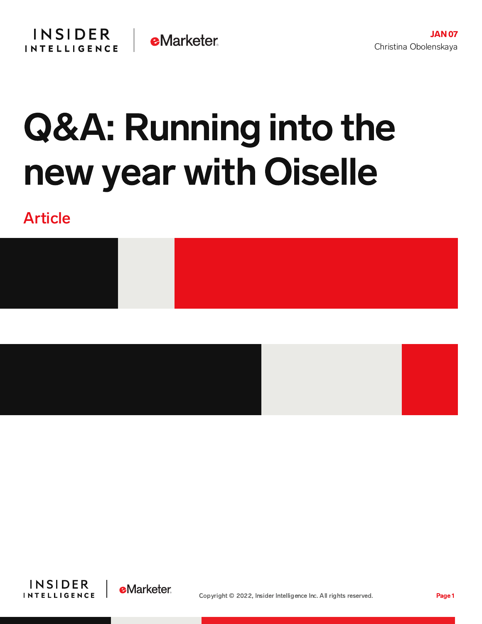# Q&A: Running into the new year with Oiselle

# Article





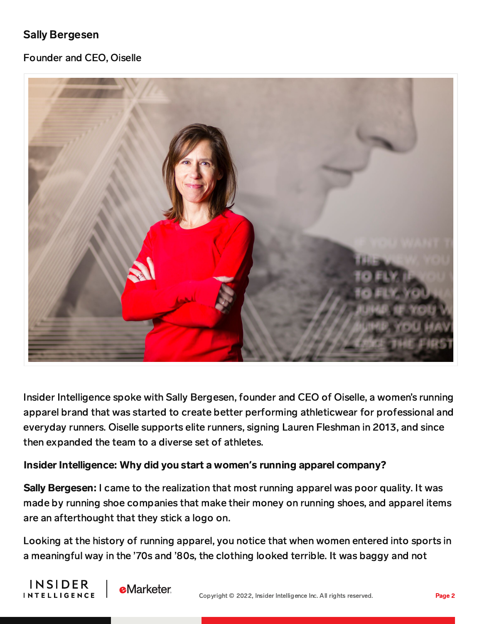# Sally Bergesen

INSIDER

**INTELLIGENCE** 

#### Founder and CEO, Oiselle



Insider Intelligence spoke with Sally Bergesen, founder and CEO of Oiselle, a women's running apparel brand that was started to create better performing athleticwear for professional and everyday runners. Oiselle supports elite runners, signing Lauren Fleshman in 2013, and since then expanded the team to a diverse set of athletes.

#### Insider Intelligence: Why did you start a women**'**s running apparel company?

**eMarketer** 

Sally Bergesen: I came to the realization that most running apparel was poor quality. It was made by running shoe companies that make their money on running shoes, and apparel items are an afterthought that they stick a logo on.

Looking at the history of running apparel, you notice that when women entered into sports in a meaningful way in the '70s and '80s, the clothing looked terrible. It was baggy and not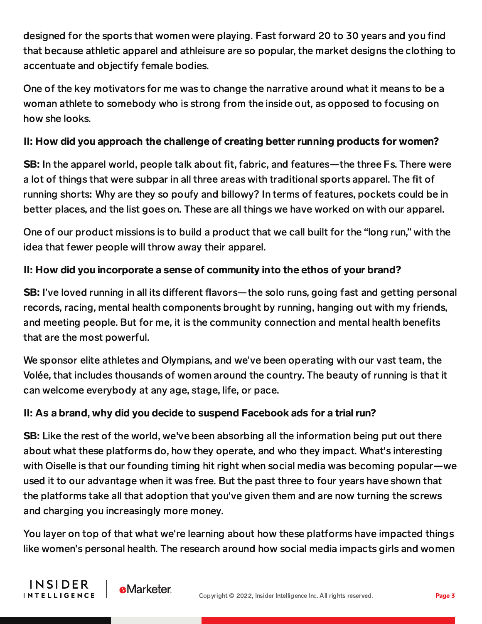designed for the sports that women were playing. Fast forward 20 to 30 years and you find that because athletic apparel and athleisure are so popular, the market designs the clothing to accentuate and objectify female bodies.

One of the key motivators for me was to change the narrative around what it means to be a woman athlete to somebody who is strong from the inside out, as opposed to focusing on how she looks.

## II: How did you approach the challenge of creating better running products for women?

SB: In the apparel world, people talk about fit, fabric, and features—the three Fs. There were a lot of things that were subpar in all three areas with traditional sports apparel. The fit of running shorts: Why are they so poufy and billowy? In terms of features, pockets could be in better places, and the list goes on. These are all things we have worked on with our apparel.

One of our product missions is to build a product that we call built for the "long run," with the idea that fewer people will throw away their apparel.

# II: How did you incorporate a sense of community into the ethos of your brand?

**SB:** I've loved running in all its different flavors—the solo runs, going fast and getting personal records, racing, mental health components brought by running, hanging out with my friends, and meeting people. But for me, it is the community connection and mental health benefits that are the most powerful.

We sponsor elite athletes and Olympians, and we've been operating with our vast team, the Volée, that includes thousands of women around the country. The beauty of running is that it can welcome everybody at any age, stage, life, or pace.

## II: As a brand, why did you decide to suspend Facebook ads for a trial run?

**SB:** Like the rest of the world, we've been absorbing all the information being put out there about what these platforms do, how they operate, and who they impact. What's interesting with Oiselle is that our founding timing hit right when social media was becoming popular—we used it to our advantage when it was free. But the past three to four years have shown that the platforms take all that adoption that you've given them and are now turning the screws and charging you increasingly more money.

You layer on top of that what we're learning about how these platforms have impacted things like women's personal health. The research around how social media impacts girls and women